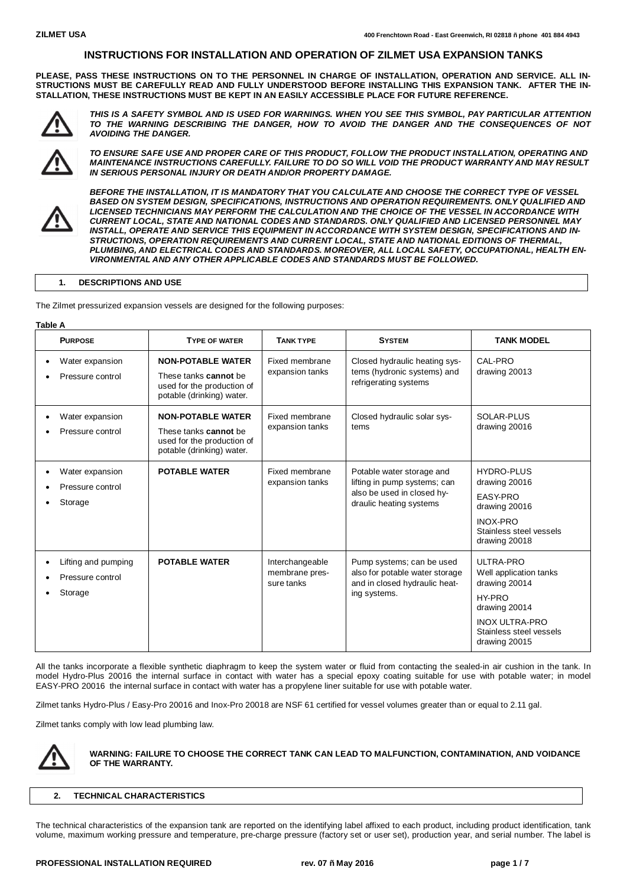**PLEASE, PASS THESE INSTRUCTIONS ON TO THE PERSONNEL IN CHARGE OF INSTALLATION, OPERATION AND SERVICE. ALL IN-**STRUCTIONS MUST BE CAREFULLY READ AND FULLY UNDERSTOOD BEFORE INSTALLING THIS EXPANSION TANK. AFTER THE IN-**STALLATION, THESE INSTRUCTIONS MUST BE KEPT IN AN EASILY ACCESSIBLE PLACE FOR FUTURE REFERENCE.**



*THIS IS A SAFETY SYMBOL AND IS USED FOR WARNINGS. WHEN YOU SEE THIS SYMBOL, PAY PARTICULAR ATTENTION TO THE WARNING DESCRIBING THE DANGER, HOW TO AVOID THE DANGER AND THE CONSEQUENCES OF NOT AVOIDING THE DANGER.*



*TO ENSURE SAFE USE AND PROPER CARE OF THIS PRODUCT, FOLLOW THE PRODUCT INSTALLATION, OPERATING AND MAINTENANCE INSTRUCTIONS CAREFULLY. FAILURE TO DO SO WILL VOID THE PRODUCT WARRANTY AND MAY RESULT IN SERIOUS PERSONAL INJURY OR DEATH AND/OR PROPERTY DAMAGE.* 



*BEFORE THE INSTALLATION, IT IS MANDATORY THAT YOU CALCULATE AND CHOOSE THE CORRECT TYPE OF VESSEL BASED ON SYSTEM DESIGN, SPECIFICATIONS, INSTRUCTIONS AND OPERATION REQUIREMENTS. ONLY QUALIFIED AND LICENSED TECHNICIANS MAY PERFORM THE CALCULATION AND THE CHOICE OF THE VESSEL IN ACCORDANCE WITH CURRENT LOCAL, STATE AND NATIONAL CODES AND STANDARDS. ONLY QUALIFIED AND LICENSED PERSONNEL MAY INSTALL, OPERATE AND SERVICE THIS EQUIPMENT IN ACCORDANCE WITH SYSTEM DESIGN, SPECIFICATIONS AND IN-STRUCTIONS, OPERATION REQUIREMENTS AND CURRENT LOCAL, STATE AND NATIONAL EDITIONS OF THERMAL, PLUMBING, AND ELECTRICAL CODES AND STANDARDS. MOREOVER, ALL LOCAL SAFETY, OCCUPATIONAL, HEALTH EN-VIRONMENTAL AND ANY OTHER APPLICABLE CODES AND STANDARDS MUST BE FOLLOWED.*

#### **1. DESCRIPTIONS AND USE**

The Zilmet pressurized expansion vessels are designed for the following purposes:

#### **Table A**

| <b>PURPOSE</b>                                     | <b>TYPE OF WATER</b>                                                                                         | <b>TANK TYPE</b>                                | <b>SYSTEM</b>                                                                                                      | <b>TANK MODEL</b>                                                                                                                                    |
|----------------------------------------------------|--------------------------------------------------------------------------------------------------------------|-------------------------------------------------|--------------------------------------------------------------------------------------------------------------------|------------------------------------------------------------------------------------------------------------------------------------------------------|
| Water expansion<br>Pressure control                | <b>NON-POTABLE WATER</b><br>These tanks cannot be<br>used for the production of<br>potable (drinking) water. | Fixed membrane<br>expansion tanks               | Closed hydraulic heating sys-<br>tems (hydronic systems) and<br>refrigerating systems                              | CAL-PRO<br>drawing 20013                                                                                                                             |
| Water expansion<br>Pressure control                | <b>NON-POTABLE WATER</b><br>These tanks cannot be<br>used for the production of<br>potable (drinking) water. | Fixed membrane<br>expansion tanks               | Closed hydraulic solar sys-<br>tems                                                                                | SOLAR-PLUS<br>drawing 20016                                                                                                                          |
| Water expansion<br>Pressure control<br>Storage     | <b>POTABLE WATER</b>                                                                                         | Fixed membrane<br>expansion tanks               | Potable water storage and<br>lifting in pump systems; can<br>also be used in closed hy-<br>draulic heating systems | <b>HYDRO-PLUS</b><br>drawing 20016<br>EASY-PRO<br>drawing 20016<br><b>INOX-PRO</b><br>Stainless steel vessels<br>drawing 20018                       |
| Lifting and pumping<br>Pressure control<br>Storage | <b>POTABLE WATER</b>                                                                                         | Interchangeable<br>membrane pres-<br>sure tanks | Pump systems; can be used<br>also for potable water storage<br>and in closed hydraulic heat-<br>ing systems.       | ULTRA-PRO<br>Well application tanks<br>drawing 20014<br>HY-PRO<br>drawing 20014<br><b>INOX ULTRA-PRO</b><br>Stainless steel vessels<br>drawing 20015 |

All the tanks incorporate a flexible synthetic diaphragm to keep the system water or fluid from contacting the sealed-in air cushion in the tank. In model Hydro-Plus 20016 the internal surface in contact with water has a special epoxy coating suitable for use with potable water; in model EASY-PRO 20016 the internal surface in contact with water has a propylene liner suitable for use with potable water.

Zilmet tanks Hydro-Plus / Easy-Pro 20016 and Inox-Pro 20018 are NSF 61 certified for vessel volumes greater than or equal to 2.11 gal.

Zilmet tanks comply with low lead plumbing law.



#### **WARNING: FAILURE TO CHOOSE THE CORRECT TANK CAN LEAD TO MALFUNCTION, CONTAMINATION, AND VOIDANCE OF THE WARRANTY.**

## **2. TECHNICAL CHARACTERISTICS**

The technical characteristics of the expansion tank are reported on the identifying label affixed to each product, including product identification, tank volume, maximum working pressure and temperature, pre-charge pressure (factory set or user set), production year, and serial number. The label is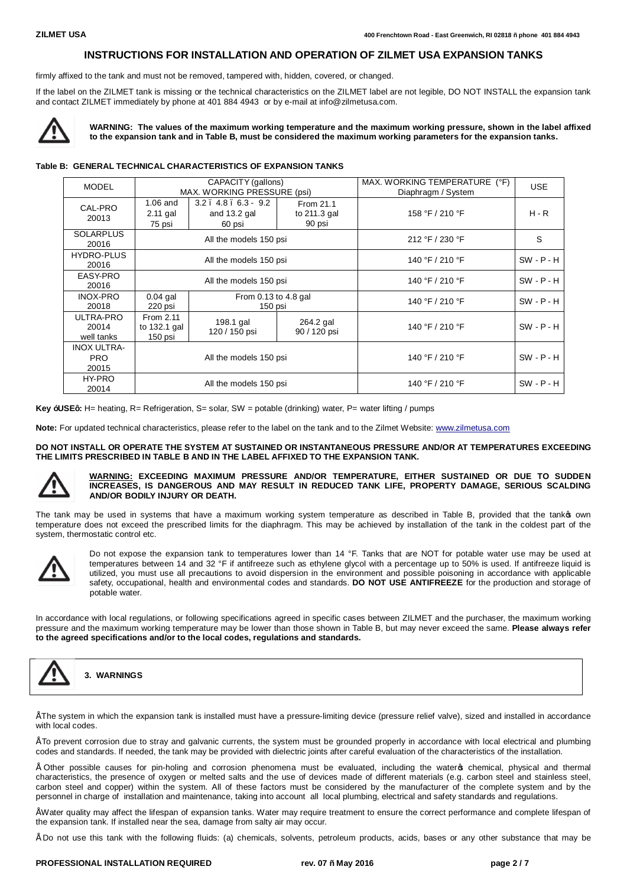firmly affixed to the tank and must not be removed, tampered with, hidden, covered, or changed.

If the label on the ZILMET tank is missing or the technical characteristics on the ZILMET label are not legible, DO NOT INSTALL the expansion tank and contact ZILMET immediately by phone at 401 884 4943 or by e-mail at info@zilmetusa.com.



**WARNING: The values of the maximum working temperature and the maximum working pressure, shown in the label affixed to the expansion tank and in Table B, must be considered the maximum working parameters for the expansion tanks.**

#### **Table B: GENERAL TECHNICAL CHARACTERISTICS OF EXPANSION TANKS**

| <b>MODEL</b>                              | CAPACITY (gallons)<br>MAX. WORKING PRESSURE (psi) |                                                         | MAX. WORKING TEMPERATURE (°F)<br>Diaphragm / System | <b>USE</b>      |              |
|-------------------------------------------|---------------------------------------------------|---------------------------------------------------------|-----------------------------------------------------|-----------------|--------------|
| CAL-PRO<br>20013                          | $1.06$ and<br>2.11 gal<br>75 psi                  | $3.2$ . $4.8$ . $6.3$ - $9.2$<br>and 13.2 gal<br>60 psi | From 21.1<br>to 211.3 gal<br>90 psi                 | 158 °F / 210 °F | $H - R$      |
| <b>SOLARPLUS</b><br>20016                 | All the models 150 psi                            |                                                         |                                                     | 212 °F / 230 °F | S            |
| <b>HYDRO-PLUS</b><br>20016                | All the models 150 psi                            |                                                         |                                                     | 140 °F / 210 °F | $SW - P - H$ |
| EASY-PRO<br>20016                         | All the models 150 psi                            |                                                         | 140 °F / 210 °F                                     | $SW - P - H$    |              |
| <b>INOX-PRO</b><br>20018                  | $0.04$ gal<br>220 psi                             | From 0.13 to 4.8 gal<br>150 psi                         |                                                     | 140 °F / 210 °F | $SW - P - H$ |
| ULTRA-PRO<br>20014<br>well tanks          | From 2.11<br>to 132.1 gal<br>150 psi              | 198.1 gal<br>120 / 150 psi                              | 264.2 gal<br>90 / 120 psi                           | 140 °F / 210 °F | $SW - P - H$ |
| <b>INOX ULTRA-</b><br><b>PRO</b><br>20015 | All the models 150 psi                            |                                                         | 140 °F / 210 °F                                     | $SW - P - H$    |              |
| HY-PRO<br>20014                           | All the models 150 psi                            |                                                         | 140 °F / 210 °F                                     | $SW - P - H$    |              |

**Key "USE":** H= heating, R= Refrigeration, S= solar, SW = potable (drinking) water, P= water lifting / pumps

**Note:** For updated technical characteristics, please refer to the label on the tank and to the Zilmet Website: www.zilmetusa.com

#### **DO NOT INSTALL OR OPERATE THE SYSTEM AT SUSTAINED OR INSTANTANEOUS PRESSURE AND/OR AT TEMPERATURES EXCEEDING THE LIMITS PRESCRIBED IN TABLE B AND IN THE LABEL AFFIXED TO THE EXPANSION TANK.**



#### **WARNING: EXCEEDING MAXIMUM PRESSURE AND/OR TEMPERATURE, EITHER SUSTAINED OR DUE TO SUDDEN INCREASES, IS DANGEROUS AND MAY RESULT IN REDUCED TANK LIFE, PROPERTY DAMAGE, SERIOUS SCALDING AND/OR BODILY INJURY OR DEATH.**

The tank may be used in systems that have a maximum working system temperature as described in Table B, provided that the tankop own temperature does not exceed the prescribed limits for the diaphragm. This may be achieved by installation of the tank in the coldest part of the system, thermostatic control etc.



Do not expose the expansion tank to temperatures lower than 14 °F. Tanks that are NOT for potable water use may be used at temperatures between 14 and 32 °F if antifreeze such as ethylene glycol with a percentage up to 50% is used. If antifreeze liquid is utilized, you must use all precautions to avoid dispersion in the environment and possible poisoning in accordance with applicable safety, occupational, health and environmental codes and standards. **DO NOT USE ANTIFREEZE** for the production and storage of potable water.

In accordance with local regulations, or following specifications agreed in specific cases between ZILMET and the purchaser, the maximum working pressure and the maximum working temperature may be lower than those shown in Table B, but may never exceed the same. **Please always refer to the agreed specifications and/or to the local codes, regulations and standards.**



**3. WARNINGS**

• The system in which the expansion tank is installed must have a pressure-limiting device (pressure relief valve), sized and installed in accordance with local codes.

• To prevent corrosion due to stray and galvanic currents, the system must be grounded properly in accordance with local electrical and plumbing codes and standards. If needed, the tank may be provided with dielectric joints after careful evaluation of the characteristics of the installation.

• Other possible causes for pin-holing and corrosion phenomena must be evaluated, including the water's chemical, physical and thermal characteristics, the presence of oxygen or melted salts and the use of devices made of different materials (e.g. carbon steel and stainless steel, carbon steel and copper) within the system. All of these factors must be considered by the manufacturer of the complete system and by the personnel in charge of installation and maintenance, taking into account all local plumbing, electrical and safety standards and regulations.

• Water quality may affect the lifespan of expansion tanks. Water may require treatment to ensure the correct performance and complete lifespan of the expansion tank. If installed near the sea, damage from salty air may occur.

• Do not use this tank with the following fluids: (a) chemicals, solvents, petroleum products, acids, bases or any other substance that may be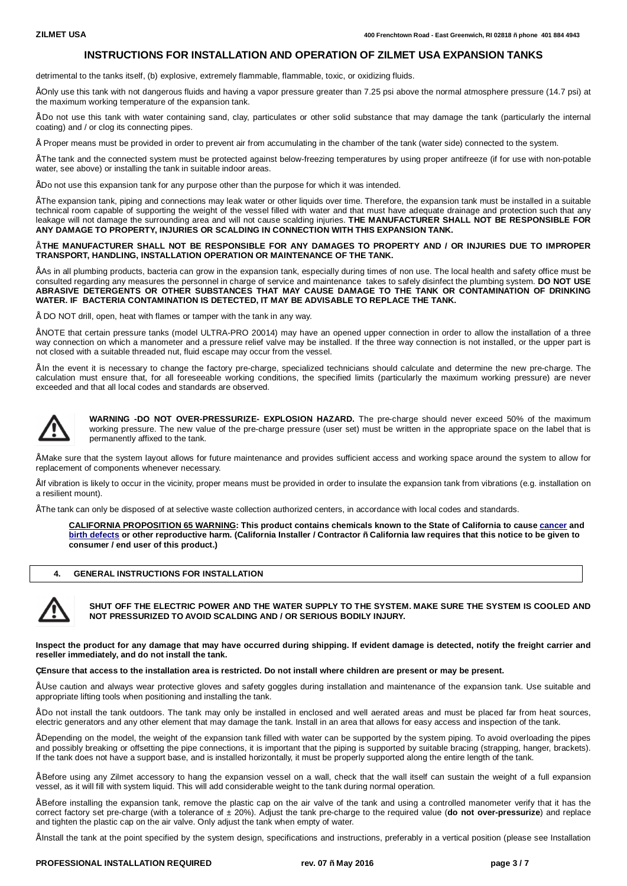detrimental to the tanks itself, (b) explosive, extremely flammable, flammable, toxic, or oxidizing fluids.

• Only use this tank with not dangerous fluids and having a vapor pressure greater than 7.25 psi above the normal atmosphere pressure (14.7 psi) at the maximum working temperature of the expansion tank.

• Do not use this tank with water containing sand, clay, particulates or other solid substance that may damage the tank (particularly the internal coating) and / or clog its connecting pipes.

• Proper means must be provided in order to prevent air from accumulating in the chamber of the tank (water side) connected to the system.

• The tank and the connected system must be protected against below-freezing temperatures by using proper antifreeze (if for use with non-potable water, see above) or installing the tank in suitable indoor areas.

• Do not use this expansion tank for any purpose other than the purpose for which it was intended.

• The expansion tank, piping and connections may leak water or other liquids over time. Therefore, the expansion tank must be installed in a suitable technical room capable of supporting the weight of the vessel filled with water and that must have adequate drainage and protection such that any leakage will not damage the surrounding area and will not cause scalding injuries. **THE MANUFACTURER SHALL NOT BE RESPONSIBLE FOR ANY DAMAGE TO PROPERTY, INJURIES OR SCALDING IN CONNECTION WITH THIS EXPANSION TANK.**

#### • **THE MANUFACTURER SHALL NOT BE RESPONSIBLE FOR ANY DAMAGES TO PROPERTY AND / OR INJURIES DUE TO IMPROPER TRANSPORT, HANDLING, INSTALLATION OPERATION OR MAINTENANCE OF THE TANK.**

• As in all plumbing products, bacteria can grow in the expansion tank, especially during times of non use. The local health and safety office must be consulted regarding any measures the personnel in charge of service and maintenance takes to safely disinfect the plumbing system. **DO NOT USE ABRASIVE DETERGENTS OR OTHER SUBSTANCES THAT MAY CAUSE DAMAGE TO THE TANK OR CONTAMINATION OF DRINKING WATER. IF BACTERIA CONTAMINATION IS DETECTED, IT MAY BE ADVISABLE TO REPLACE THE TANK.**

• DO NOT drill, open, heat with flames or tamper with the tank in any way.

• NOTE that certain pressure tanks (model ULTRA-PRO 20014) may have an opened upper connection in order to allow the installation of a three way connection on which a manometer and a pressure relief valve may be installed. If the three way connection is not installed, or the upper part is not closed with a suitable threaded nut, fluid escape may occur from the vessel.

• In the event it is necessary to change the factory pre-charge, specialized technicians should calculate and determine the new pre-charge. The calculation must ensure that, for all foreseeable working conditions, the specified limits (particularly the maximum working pressure) are never exceeded and that all local codes and standards are observed.



**WARNING -DO NOT OVER-PRESSURIZE- EXPLOSION HAZARD.** The pre-charge should never exceed 50% of the maximum working pressure. The new value of the pre-charge pressure (user set) must be written in the appropriate space on the label that is permanently affixed to the tank.

• Make sure that the system layout allows for future maintenance and provides sufficient access and working space around the system to allow for replacement of components whenever necessary.

• If vibration is likely to occur in the vicinity, proper means must be provided in order to insulate the expansion tank from vibrations (e.g. installation on a resilient mount).

• The tank can only be disposed of at selective waste collection authorized centers, in accordance with local codes and standards.

**CALIFORNIA PROPOSITION 65 WARNING: This product contains chemicals known to the State of California to cause cancer and birth defects or other reproductive harm. (California Installer / Contractor – California law requires that this notice to b[e given](http://en.wikipedia.org/wiki/Cancer) to [consumer / en](http://en.wikipedia.org/wiki/Birth_defect)d user of this product.)**

#### **4. GENERAL INSTRUCTIONS FOR INSTALLATION**



**SHUT OFF THE ELECTRIC POWER AND THE WATER SUPPLY TO THE SYSTEM. MAKE SURE THE SYSTEM IS COOLED AND NOT PRESSURIZED TO AVOID SCALDING AND / OR SERIOUS BODILY INJURY.**

**Inspect the product for any damage that may have occurred during shipping. If evident damage is detected, notify the freight carrier and reseller immediately, and do not install the tank.**

#### **• Ensure that access to the installation area is restricted. Do not install where children are present or may be present.**

• Use caution and always wear protective gloves and safety goggles during installation and maintenance of the expansion tank. Use suitable and appropriate lifting tools when positioning and installing the tank.

• Do not install the tank outdoors. The tank may only be installed in enclosed and well aerated areas and must be placed far from heat sources, electric generators and any other element that may damage the tank. Install in an area that allows for easy access and inspection of the tank.

• Depending on the model, the weight of the expansion tank filled with water can be supported by the system piping. To avoid overloading the pipes and possibly breaking or offsetting the pipe connections, it is important that the piping is supported by suitable bracing (strapping, hanger, brackets). If the tank does not have a support base, and is installed horizontally, it must be properly supported along the entire length of the tank.

• Before using any Zilmet accessory to hang the expansion vessel on a wall, check that the wall itself can sustain the weight of a full expansion vessel, as it will fill with system liquid. This will add considerable weight to the tank during normal operation.

• Before installing the expansion tank, remove the plastic cap on the air valve of the tank and using a controlled manometer verify that it has the correct factory set pre-charge (with a tolerance of ± 20%). Adjust the tank pre-charge to the required value (**do not over-pressurize**) and replace and tighten the plastic cap on the air valve. Only adjust the tank when empty of water.

• Install the tank at the point specified by the system design, specifications and instructions, preferably in a vertical position (please see Installation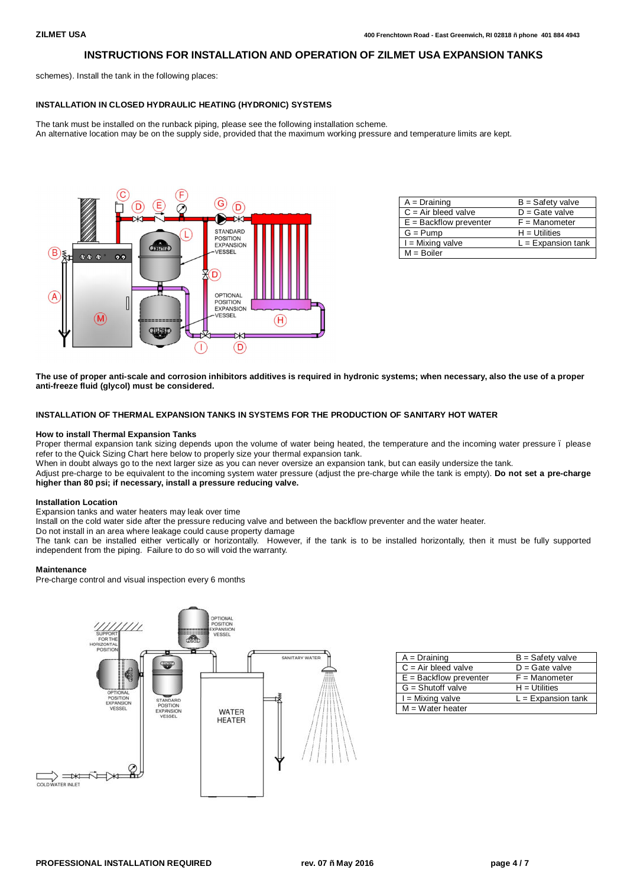schemes). Install the tank in the following places:

#### **INSTALLATION IN CLOSED HYDRAULIC HEATING (HYDRONIC) SYSTEMS**

The tank must be installed on the runback piping, please see the following installation scheme. An alternative location may be on the supply side, provided that the maximum working pressure and temperature limits are kept.



| $A = Draining$           | $B =$ Safety valve   |
|--------------------------|----------------------|
| $C = Air$ bleed valve    | $D =$ Gate valve     |
| $E =$ Backflow preventer | $F =$ Manometer      |
| $G = Pump$               | $H = U$ tilities     |
| $I =$ Mixing valve       | $L =$ Expansion tank |
| $M = Boiler$             |                      |

**The use of proper anti-scale and corrosion inhibitors additives is required in hydronic systems; when necessary, also the use of a proper anti-freeze fluid (glycol) must be considered.**

### **INSTALLATION OF THERMAL EXPANSION TANKS IN SYSTEMS FOR THE PRODUCTION OF SANITARY HOT WATER**

#### **How to install Thermal Expansion Tanks**

Proper thermal expansion tank sizing depends upon the volume of water being heated, the temperature and the incoming water pressure. please refer to the Quick Sizing Chart here below to properly size your thermal expansion tank.

When in doubt always go to the next larger size as you can never oversize an expansion tank, but can easily undersize the tank.

Adjust pre-charge to be equivalent to the incoming system water pressure (adjust the pre-charge while the tank is empty). **Do not set a pre-charge higher than 80 psi; if necessary, install a pressure reducing valve.**

#### **Installation Location**

Expansion tanks and water heaters may leak over time

Install on the cold water side after the pressure reducing valve and between the backflow preventer and the water heater.

Do not install in an area where leakage could cause property damage

The tank can be installed either vertically or horizontally. However, if the tank is to be installed horizontally, then it must be fully supported independent from the piping. Failure to do so will void the warranty.

#### **Maintenance**

Pre-charge control and visual inspection every 6 months



| $A = Draining$           | $B = S$ afety valve  |
|--------------------------|----------------------|
| $C = Air$ bleed valve    | $D =$ Gate valve     |
| $E =$ Backflow preventer | $F =$ Manometer      |
| $G =$ Shutoff valve      | $H = U$ tilities     |
| $I =$ Mixing valve       | $L =$ Expansion tank |
| $M = Water$ heater       |                      |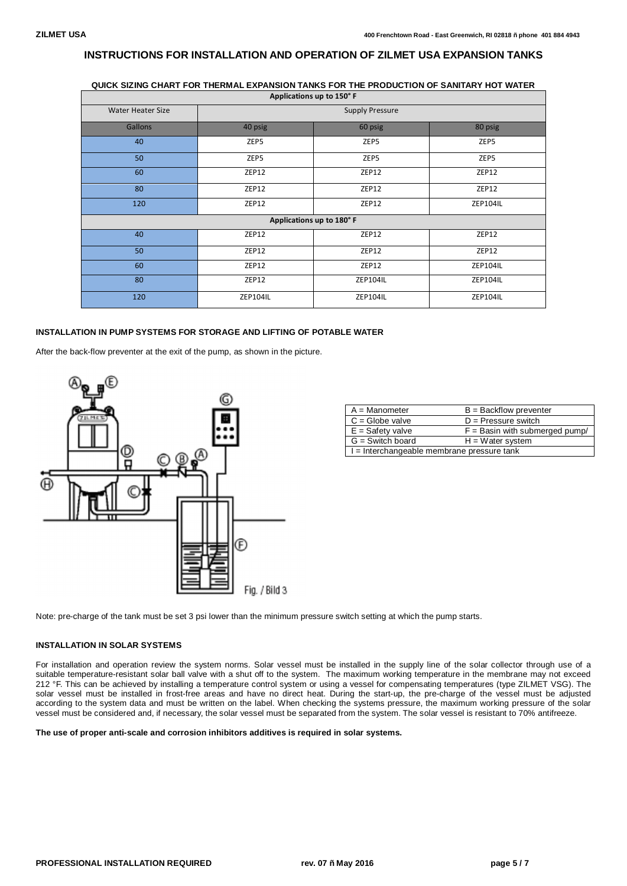# **QUICK SIZING CHART FOR THERMAL EXPANSION TANKS FOR THE PRODUCTION OF SANITARY HOT WATER**

| Applications up to 150°F |                        |          |                 |
|--------------------------|------------------------|----------|-----------------|
| <b>Water Heater Size</b> | <b>Supply Pressure</b> |          |                 |
| <b>Gallons</b>           | 40 psig                | 60 psig  | 80 psig         |
| 40                       | ZEP5                   | ZEP5     | ZEP5            |
| 50                       | ZEP5                   | ZEP5     | ZEP5            |
| 60                       | ZEP12                  | ZEP12    | ZEP12           |
| 80                       | ZEP12                  | ZEP12    | ZEP12           |
| 120                      | ZEP12                  | ZEP12    | <b>ZEP104IL</b> |
| Applications up to 180°F |                        |          |                 |
| 40                       | ZEP12                  | ZEP12    | ZEP12           |
| 50                       | ZEP12                  | ZEP12    | ZEP12           |
| 60                       | ZEP12                  | ZEP12    | <b>ZEP104IL</b> |
| 80                       | ZEP12                  | ZEP104IL | ZEP104IL        |
| 120                      | <b>ZEP104IL</b>        | ZEP104IL | <b>ZEP104IL</b> |

## **INSTALLATION IN PUMP SYSTEMS FOR STORAGE AND LIFTING OF POTABLE WATER**

After the back-flow preventer at the exit of the pump, as shown in the picture.



| $A =$ Manometer                                    | $B =$ Backflow preventer         |  |
|----------------------------------------------------|----------------------------------|--|
| $C =$ Globe valve                                  | $D =$ Pressure switch            |  |
| $E =$ Safety valve                                 | $F =$ Basin with submerged pump/ |  |
| $G =$ Switch board<br>$H = Water$ system           |                                  |  |
| $\vert$ I = Interchangeable membrane pressure tank |                                  |  |

Note: pre-charge of the tank must be set 3 psi lower than the minimum pressure switch setting at which the pump starts.

## **INSTALLATION IN SOLAR SYSTEMS**

For installation and operation review the system norms. Solar vessel must be installed in the supply line of the solar collector through use of a suitable temperature-resistant solar ball valve with a shut off to the system. The maximum working temperature in the membrane may not exceed 212 °F. This can be achieved by installing a temperature control system or using a vessel for compensating temperatures (type ZILMET VSG). The solar vessel must be installed in frost-free areas and have no direct heat. During the start-up, the pre-charge of the vessel must be adjusted according to the system data and must be written on the label. When checking the systems pressure, the maximum working pressure of the solar vessel must be considered and, if necessary, the solar vessel must be separated from the system. The solar vessel is resistant to 70% antifreeze.

#### **The use of proper anti-scale and corrosion inhibitors additives is required in solar systems.**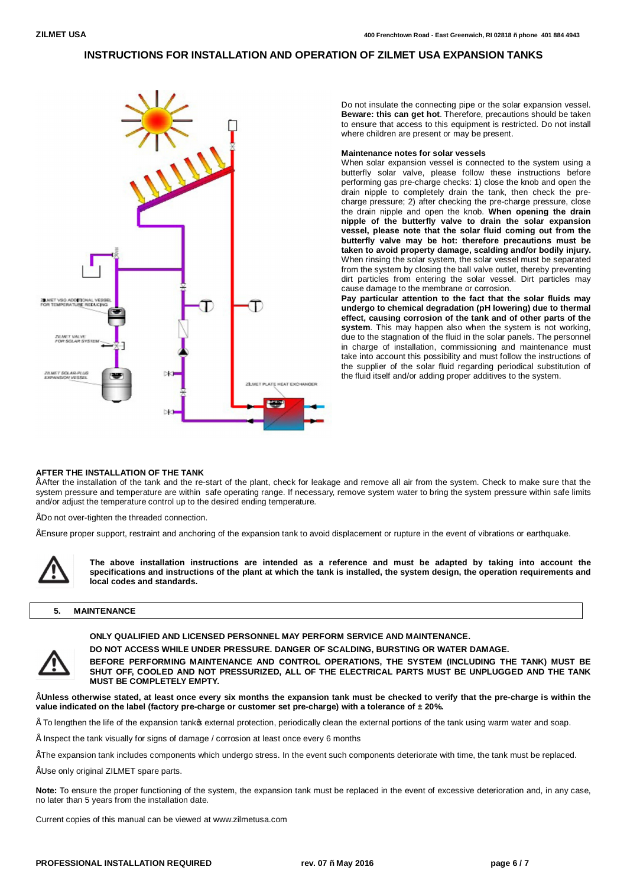

Do not insulate the connecting pipe or the solar expansion vessel. **Beware: this can get hot**. Therefore, precautions should be taken to ensure that access to this equipment is restricted. Do not install where children are present or may be present.

#### **Maintenance notes for solar vessels**

When solar expansion vessel is connected to the system using a butterfly solar valve, please follow these instructions before performing gas pre-charge checks: 1) close the knob and open the drain nipple to completely drain the tank, then check the precharge pressure; 2) after checking the pre-charge pressure, close the drain nipple and open the knob. **When opening the drain nipple of the butterfly valve to drain the solar expansion vessel, please note that the solar fluid coming out from the butterfly valve may be hot: therefore precautions must be taken to avoid property damage, scalding and/or bodily injury.** When rinsing the solar system, the solar vessel must be separated from the system by closing the ball valve outlet, thereby preventing dirt particles from entering the solar vessel. Dirt particles may cause damage to the membrane or corrosion.

**Pay particular attention to the fact that the solar fluids may undergo to chemical degradation (pH lowering) due to thermal effect, causing corrosion of the tank and of other parts of the system**. This may happen also when the system is not working, due to the stagnation of the fluid in the solar panels. The personnel in charge of installation, commissioning and maintenance must take into account this possibility and must follow the instructions of the supplier of the solar fluid regarding periodical substitution of the fluid itself and/or adding proper additives to the system.

#### **AFTER THE INSTALLATION OF THE TANK**

• After the installation of the tank and the re-start of the plant, check for leakage and remove all air from the system. Check to make sure that the system pressure and temperature are within safe operating range. If necessary, remove system water to bring the system pressure within safe limits and/or adjust the temperature control up to the desired ending temperature.

• Do not over-tighten the threaded connection.

• Ensure proper support, restraint and anchoring of the expansion tank to avoid displacement or rupture in the event of vibrations or earthquake.



**The above installation instructions are intended as a reference and must be adapted by taking into account the specifications and instructions of the plant at which the tank is installed, the system design, the operation requirements and local codes and standards.**

#### **5. MAINTENANCE**



**ONLY QUALIFIED AND LICENSED PERSONNEL MAY PERFORM SERVICE AND MAINTENANCE.**

**DO NOT ACCESS WHILE UNDER PRESSURE. DANGER OF SCALDING, BURSTING OR WATER DAMAGE.**

**BEFORE PERFORMING MAINTENANCE AND CONTROL OPERATIONS, THE SYSTEM (INCLUDING THE TANK) MUST BE SHUT OFF, COOLED AND NOT PRESSURIZED, ALL OF THE ELECTRICAL PARTS MUST BE UNPLUGGED AND THE TANK MUST BE COMPLETELY EMPTY.**

• **Unless otherwise stated, at least once every six months the expansion tank must be checked to verify that the pre-charge is within the value indicated on the label (factory pre-charge or customer set pre-charge) with a tolerance of ± 20%.**

To lengthen the life of the expansion tankos external protection, periodically clean the external portions of the tank using warm water and soap.

• Inspect the tank visually for signs of damage / corrosion at least once every 6 months

- The expansion tank includes components which undergo stress. In the event such components deteriorate with time, the tank must be replaced.
- Use only original ZILMET spare parts.

**Note:** To ensure the proper functioning of the system, the expansion tank must be replaced in the event of excessive deterioration and, in any case, no later than 5 years from the installation date.

Current copies of this manual can be viewed at [www.zilmetusa.com](http://www.zilmetusa.com/)